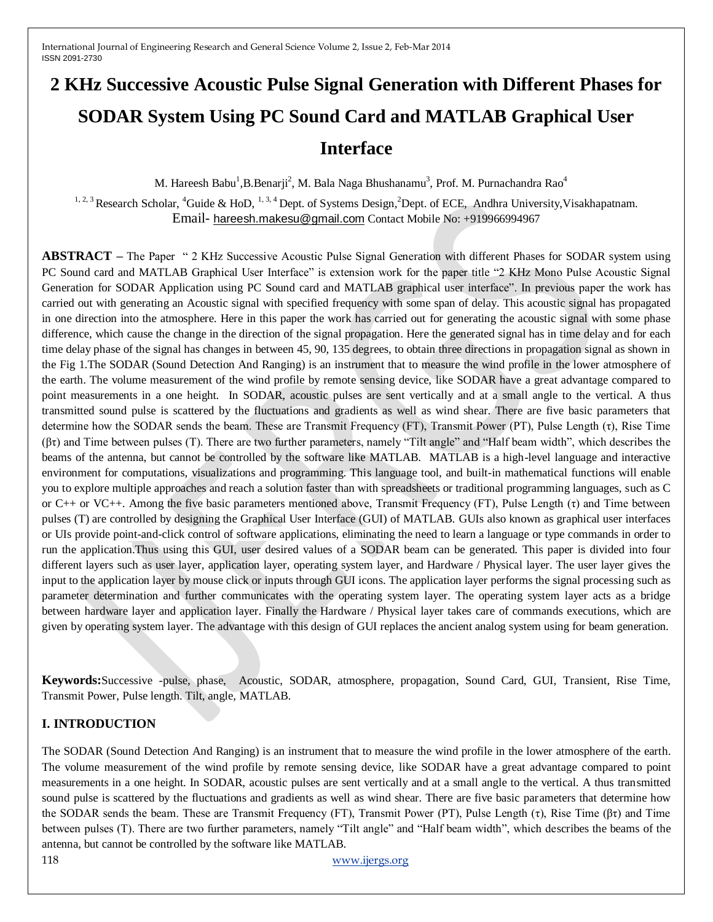# **2 KHz Successive Acoustic Pulse Signal Generation with Different Phases for SODAR System Using PC Sound Card and MATLAB Graphical User Interface**

M. Hareesh Babu<sup>1</sup>, B.Benarji<sup>2</sup>, M. Bala Naga Bhushanamu<sup>3</sup>, Prof. M. Purnachandra Rao<sup>4</sup>

<sup>1, 2, 3</sup> Research Scholar, <sup>4</sup>Guide & HoD, <sup>1, 3, 4</sup> Dept. of Systems Design, <sup>2</sup>Dept. of ECE, Andhra University, Visakhapatnam. Email- [hareesh.makesu@gmail.com](mailto:hareesh.makesu@gmail.com) Contact Mobile No: +919966994967

**ABSTRACT –** The Paper " 2 KHz Successive Acoustic Pulse Signal Generation with different Phases for SODAR system using PC Sound card and MATLAB Graphical User Interface" is extension work for the paper title "2 KHz Mono Pulse Acoustic Signal Generation for SODAR Application using PC Sound card and MATLAB graphical user interface". In previous paper the work has carried out with generating an Acoustic signal with specified frequency with some span of delay. This acoustic signal has propagated in one direction into the atmosphere. Here in this paper the work has carried out for generating the acoustic signal with some phase difference, which cause the change in the direction of the signal propagation. Here the generated signal has in time delay and for each time delay phase of the signal has changes in between 45, 90, 135 degrees, to obtain three directions in propagation signal as shown in the Fig 1.The SODAR (Sound Detection And Ranging) is an instrument that to measure the wind profile in the lower atmosphere of the earth. The volume measurement of the wind profile by remote sensing device, like SODAR have a great advantage compared to point measurements in a one height. In SODAR, acoustic pulses are sent vertically and at a small angle to the vertical. A thus transmitted sound pulse is scattered by the fluctuations and gradients as well as wind shear. There are five basic parameters that determine how the SODAR sends the beam. These are Transmit Frequency (FT), Transmit Power (PT), Pulse Length (τ), Rise Time (βτ) and Time between pulses (T). There are two further parameters, namely "Tilt angle" and "Half beam width", which describes the beams of the antenna, but cannot be controlled by the software like MATLAB. MATLAB is a high-level language and interactive environment for computations, visualizations and programming. This language tool, and built-in mathematical functions will enable you to explore multiple approaches and reach a solution faster than with spreadsheets or traditional programming languages, such as C or C++ or VC++. Among the five basic parameters mentioned above, Transmit Frequency (FT), Pulse Length (τ) and Time between pulses (T) are controlled by designing the Graphical User Interface (GUI) of MATLAB. GUIs also known as graphical user interfaces or UIs provide point-and-click control of software applications, eliminating the need to learn a language or type commands in order to run the application.Thus using this GUI, user desired values of a SODAR beam can be generated. This paper is divided into four different layers such as user layer, application layer, operating system layer, and Hardware / Physical layer. The user layer gives the input to the application layer by mouse click or inputs through GUI icons. The application layer performs the signal processing such as parameter determination and further communicates with the operating system layer. The operating system layer acts as a bridge between hardware layer and application layer. Finally the Hardware / Physical layer takes care of commands executions, which are given by operating system layer. The advantage with this design of GUI replaces the ancient analog system using for beam generation.

**Keywords:**Successive -pulse, phase, Acoustic, SODAR, atmosphere, propagation, Sound Card, GUI, Transient, Rise Time, Transmit Power, Pulse length. Tilt, angle, MATLAB.

# **I. INTRODUCTION**

The SODAR (Sound Detection And Ranging) is an instrument that to measure the wind profile in the lower atmosphere of the earth. The volume measurement of the wind profile by remote sensing device, like SODAR have a great advantage compared to point measurements in a one height. In SODAR, acoustic pulses are sent vertically and at a small angle to the vertical. A thus transmitted sound pulse is scattered by the fluctuations and gradients as well as wind shear. There are five basic parameters that determine how the SODAR sends the beam. These are Transmit Frequency (FT), Transmit Power (PT), Pulse Length (τ), Rise Time (βτ) and Time between pulses (T). There are two further parameters, namely "Tilt angle" and "Half beam width", which describes the beams of the antenna, but cannot be controlled by the software like MATLAB.

118 [www.ijergs.org](http://www.ijergs.org/)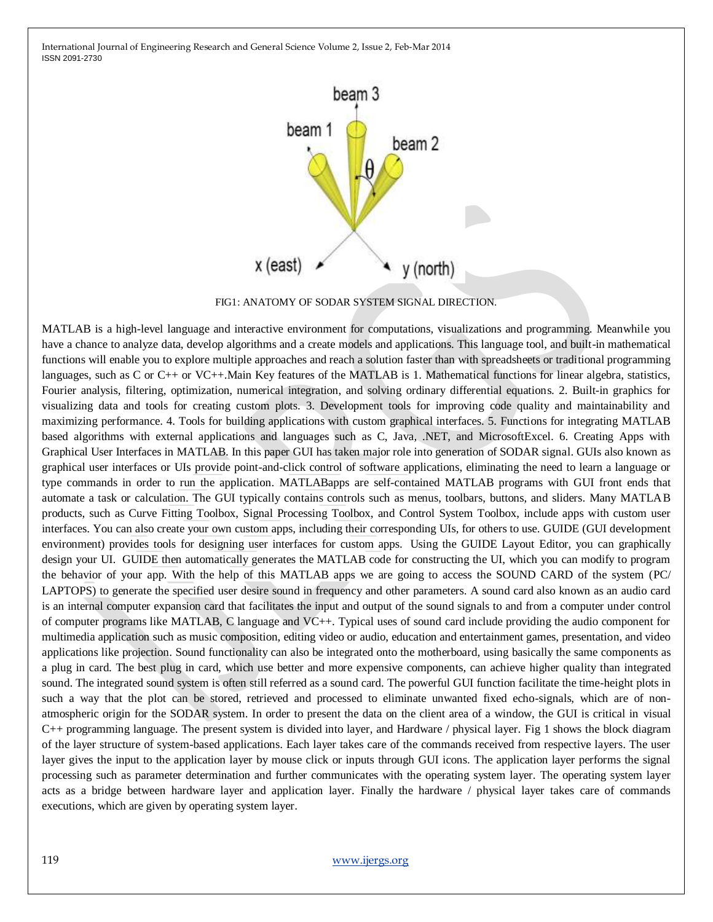

FIG1: ANATOMY OF SODAR SYSTEM SIGNAL DIRECTION.

MATLAB is a high-level language and interactive environment for computations, visualizations and programming. Meanwhile you have a chance to analyze data, develop algorithms and a create models and applications. This language tool, and built-in mathematical functions will enable you to explore multiple approaches and reach a solution faster than with spreadsheets or traditional programming languages, such as C or C++ or VC++.Main Key features of the MATLAB is 1. Mathematical functions for linear algebra, statistics, Fourier analysis, filtering, optimization, numerical integration, and solving ordinary differential equations. 2. Built-in graphics for visualizing data and tools for creating custom plots. 3. Development tools for improving code quality and maintainability and maximizing performance. 4. Tools for building applications with custom graphical interfaces. 5. Functions for integrating MATLAB based algorithms with external applications and languages such as C, Java, .NET, and MicrosoftExcel. 6. Creating Apps with Graphical User Interfaces in MATLAB. In this paper GUI has taken major role into generation of SODAR signal. GUIs also known as graphical user interfaces or UIs provide point-and-click control of software applications, eliminating the need to learn a language or type commands in order to run the application. MATLABapps are self-contained MATLAB programs with GUI front ends that automate a task or calculation. The GUI typically contains controls such as menus, toolbars, buttons, and sliders. Many MATLAB products, such as Curve Fitting Toolbox, Signal Processing Toolbox, and Control System Toolbox, include apps with custom user interfaces. You can also create your own custom apps, including their corresponding UIs, for others to use. GUIDE (GUI development environment) provides tools for designing user interfaces for custom apps. Using the GUIDE Layout Editor, you can graphically design your UI. GUIDE then automatically generates the MATLAB code for constructing the UI, which you can modify to program the behavior of your app. With the help of this MATLAB apps we are going to access the SOUND CARD of the system (PC/ LAPTOPS) to generate the specified user desire sound in frequency and other parameters. A sound card also known as an audio card is an internal computer expansion card that facilitates the input and output of the sound signals to and from a computer under control of computer programs like MATLAB, C language and VC++. Typical uses of sound card include providing the audio component for multimedia application such as music composition, editing video or audio, education and entertainment games, presentation, and video applications like projection. Sound functionality can also be integrated onto the motherboard, using basically the same components as a plug in card. The best plug in card, which use better and more expensive components, can achieve higher quality than integrated sound. The integrated sound system is often still referred as a sound card. The powerful GUI function facilitate the time-height plots in such a way that the plot can be stored, retrieved and processed to eliminate unwanted fixed echo-signals, which are of nonatmospheric origin for the SODAR system. In order to present the data on the client area of a window, the GUI is critical in visual C++ programming language. The present system is divided into layer, and Hardware / physical layer. Fig 1 shows the block diagram of the layer structure of system-based applications. Each layer takes care of the commands received from respective layers. The user layer gives the input to the application layer by mouse click or inputs through GUI icons. The application layer performs the signal processing such as parameter determination and further communicates with the operating system layer. The operating system layer acts as a bridge between hardware layer and application layer. Finally the hardware / physical layer takes care of commands executions, which are given by operating system layer.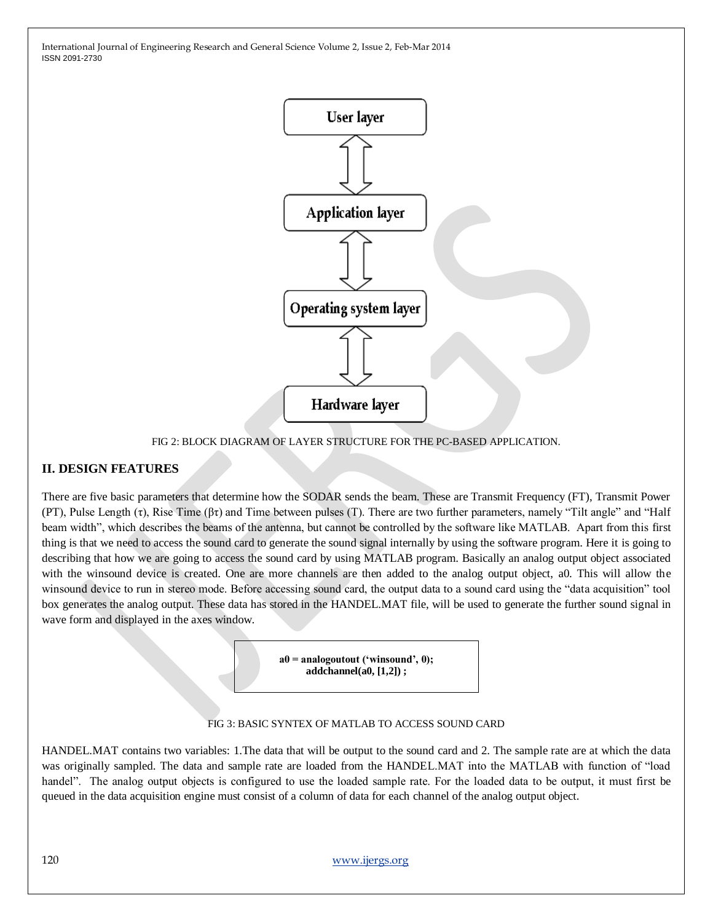

FIG 2: BLOCK DIAGRAM OF LAYER STRUCTURE FOR THE PC-BASED APPLICATION.

### **II. DESIGN FEATURES**

There are five basic parameters that determine how the SODAR sends the beam. These are Transmit Frequency (FT), Transmit Power (PT), Pulse Length (τ), Rise Time (βτ) and Time between pulses (T). There are two further parameters, namely "Tilt angle" and "Half beam width", which describes the beams of the antenna, but cannot be controlled by the software like MATLAB. Apart from this first thing is that we need to access the sound card to generate the sound signal internally by using the software program. Here it is going to describing that how we are going to access the sound card by using MATLAB program. Basically an analog output object associated with the winsound device is created. One are more channels are then added to the analog output object, a0. This will allow the winsound device to run in stereo mode. Before accessing sound card, the output data to a sound card using the "data acquisition" tool box generates the analog output. These data has stored in the HANDEL.MAT file, will be used to generate the further sound signal in wave form and displayed in the axes window.

> **a0 = analogoutout ('winsound', 0); addchannel(a0, [1,2]) ;**

#### FIG 3: BASIC SYNTEX OF MATLAB TO ACCESS SOUND CARD

HANDEL.MAT contains two variables: 1.The data that will be output to the sound card and 2. The sample rate are at which the data was originally sampled. The data and sample rate are loaded from the HANDEL.MAT into the MATLAB with function of "load handel". The analog output objects is configured to use the loaded sample rate. For the loaded data to be output, it must first be queued in the data acquisition engine must consist of a column of data for each channel of the analog output object.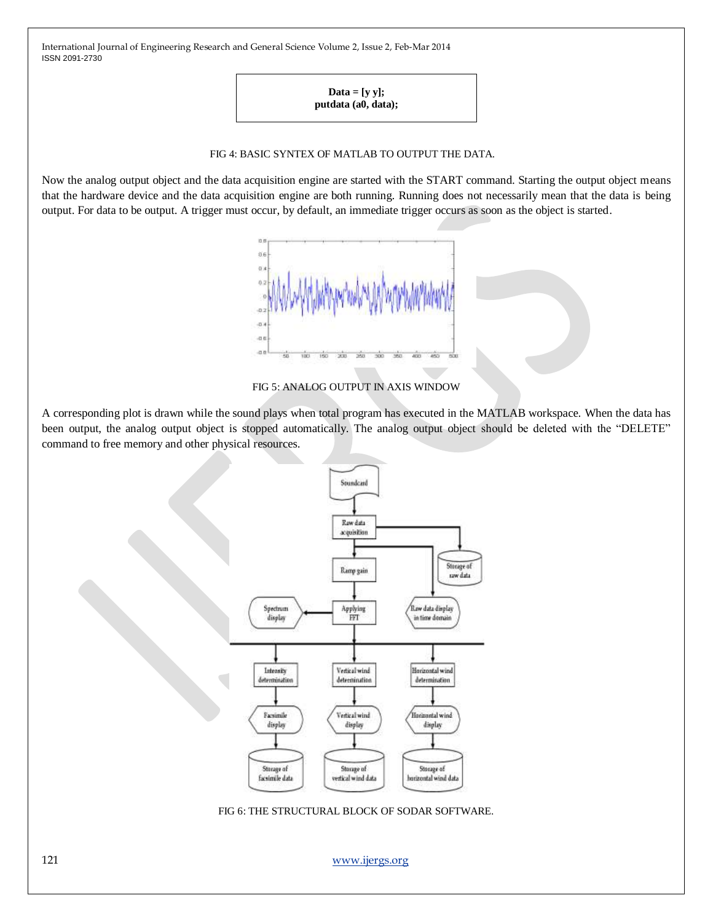> $Data = [y y];$ **putdata (a0, data);**

#### FIG 4: BASIC SYNTEX OF MATLAB TO OUTPUT THE DATA.

Now the analog output object and the data acquisition engine are started with the START command. Starting the output object means that the hardware device and the data acquisition engine are both running. Running does not necessarily mean that the data is being output. For data to be output. A trigger must occur, by default, an immediate trigger occurs as soon as the object is started.



FIG 5: ANALOG OUTPUT IN AXIS WINDOW

A corresponding plot is drawn while the sound plays when total program has executed in the MATLAB workspace. When the data has been output, the analog output object is stopped automatically. The analog output object should be deleted with the "DELETE" command to free memory and other physical resources.



FIG 6: THE STRUCTURAL BLOCK OF SODAR SOFTWARE.

121 [www.ijergs.org](http://www.ijergs.org/)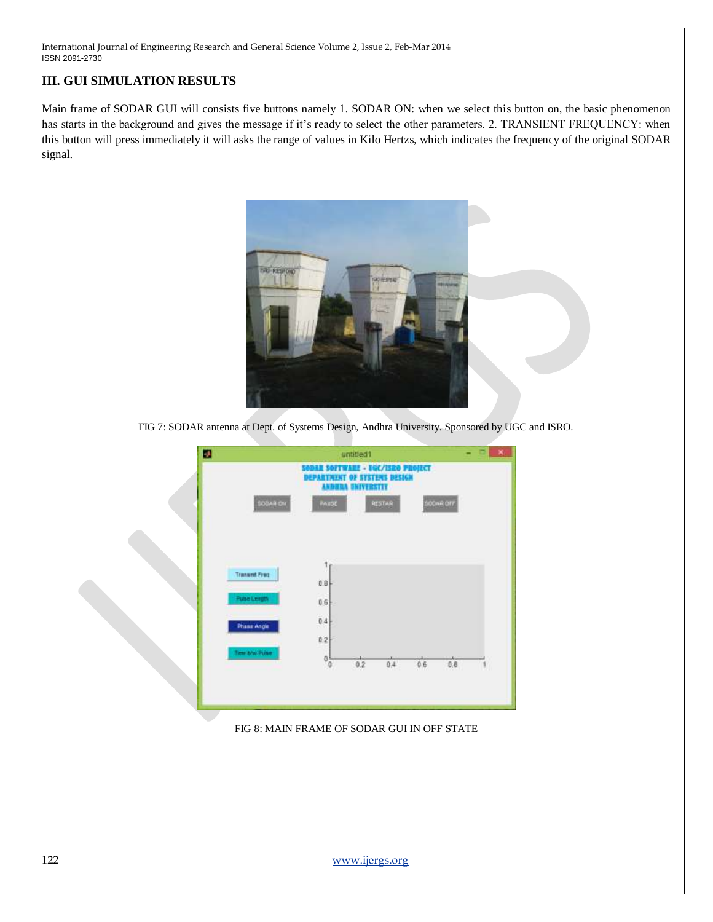# **III. GUI SIMULATION RESULTS**

Main frame of SODAR GUI will consists five buttons namely 1. SODAR ON: when we select this button on, the basic phenomenon has starts in the background and gives the message if it's ready to select the other parameters. 2. TRANSIENT FREQUENCY: when this button will press immediately it will asks the range of values in Kilo Hertzs, which indicates the frequency of the original SODAR signal.



FIG 7: SODAR antenna at Dept. of Systems Design, Andhra University. Sponsored by UGC and ISRO.



FIG 8: MAIN FRAME OF SODAR GUI IN OFF STATE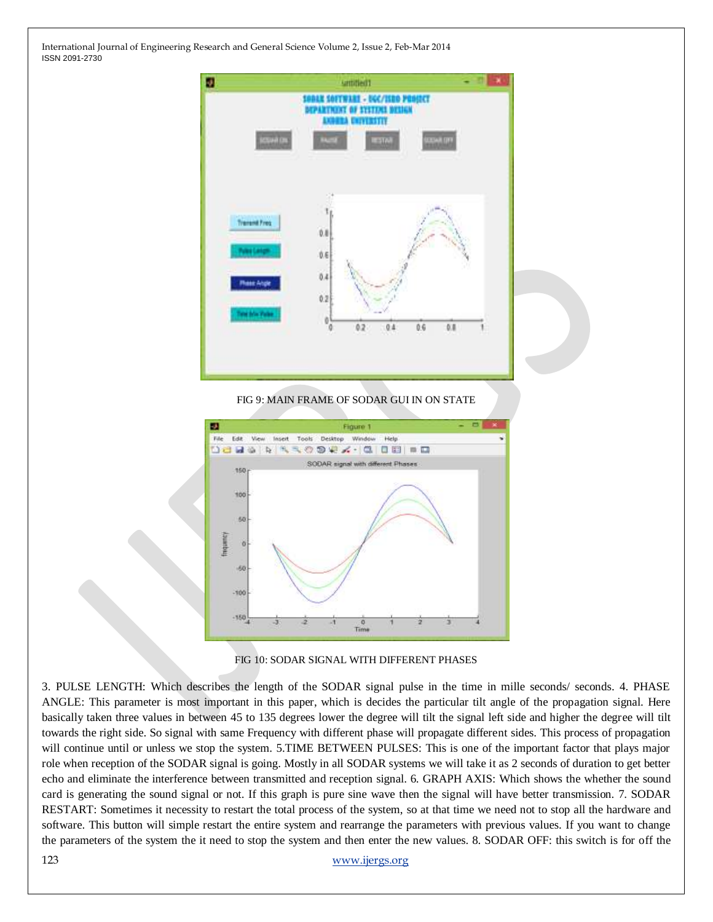

#### FIG 9: MAIN FRAME OF SODAR GUI IN ON STATE





3. PULSE LENGTH: Which describes the length of the SODAR signal pulse in the time in mille seconds/ seconds. 4. PHASE ANGLE: This parameter is most important in this paper, which is decides the particular tilt angle of the propagation signal. Here basically taken three values in between 45 to 135 degrees lower the degree will tilt the signal left side and higher the degree will tilt towards the right side. So signal with same Frequency with different phase will propagate different sides. This process of propagation will continue until or unless we stop the system. 5.TIME BETWEEN PULSES: This is one of the important factor that plays major role when reception of the SODAR signal is going. Mostly in all SODAR systems we will take it as 2 seconds of duration to get better echo and eliminate the interference between transmitted and reception signal. 6. GRAPH AXIS: Which shows the whether the sound card is generating the sound signal or not. If this graph is pure sine wave then the signal will have better transmission. 7. SODAR RESTART: Sometimes it necessity to restart the total process of the system, so at that time we need not to stop all the hardware and software. This button will simple restart the entire system and rearrange the parameters with previous values. If you want to change the parameters of the system the it need to stop the system and then enter the new values. 8. SODAR OFF: this switch is for off the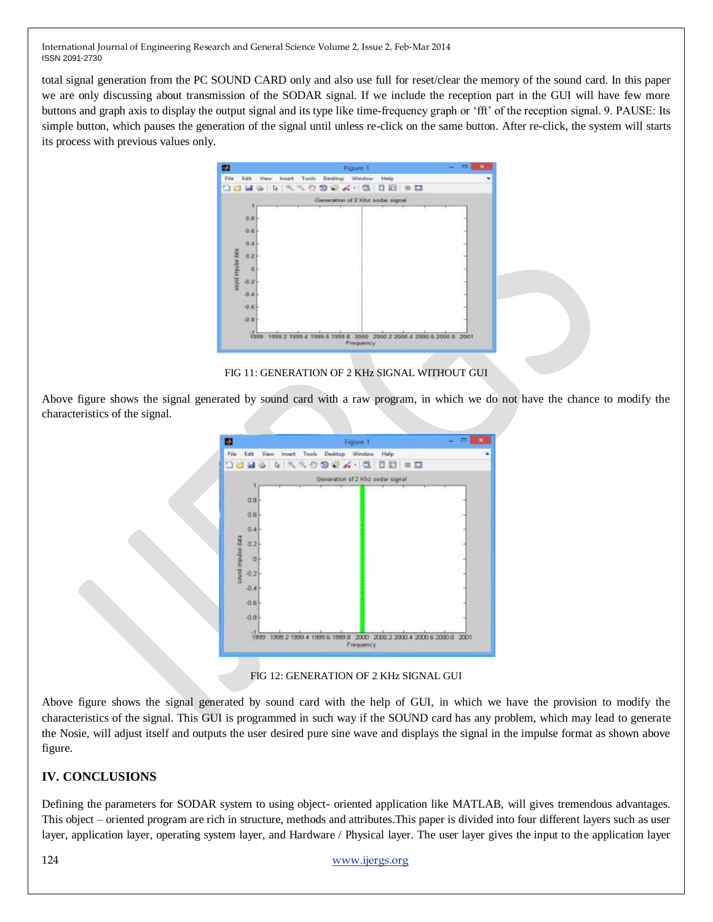total signal generation from the PC SOUND CARD only and also use full for reset/clear the memory of the sound card. In this paper we are only discussing about transmission of the SODAR signal. If we include the reception part in the GUI will have few more buttons and graph axis to display the output signal and its type like time-frequency graph or "fft" of the reception signal. 9. PAUSE: Its simple button, which pauses the generation of the signal until unless re-click on the same button. After re-click, the system will starts its process with previous values only.



FIG 11: GENERATION OF 2 KHz SIGNAL WITHOUT GUI

Above figure shows the signal generated by sound card with a raw program, in which we do not have the chance to modify the characteristics of the signal.



FIG 12: GENERATION OF 2 KHz SIGNAL GUI

Above figure shows the signal generated by sound card with the help of GUI, in which we have the provision to modify the characteristics of the signal. This GUI is programmed in such way if the SOUND card has any problem, which may lead to generate the Nosie, will adjust itself and outputs the user desired pure sine wave and displays the signal in the impulse format as shown above figure.

# **IV. CONCLUSIONS**

Defining the parameters for SODAR system to using object- oriented application like MATLAB, will gives tremendous advantages. This object – oriented program are rich in structure, methods and attributes.This paper is divided into four different layers such as user layer, application layer, operating system layer, and Hardware / Physical layer. The user layer gives the input to the application layer